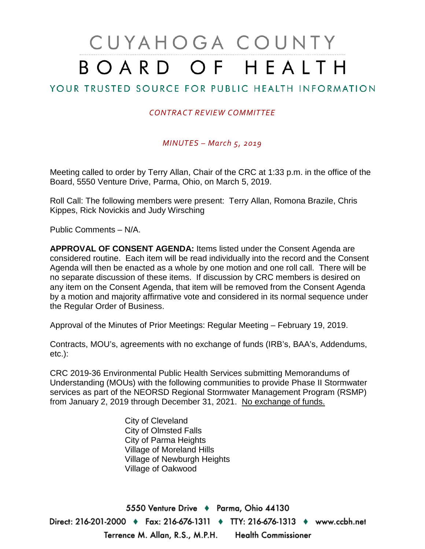# CUYAHOGA COUNTY BOARD OF HEALTH

# YOUR TRUSTED SOURCE FOR PUBLIC HEALTH INFORMATION

#### *CONTRACT REVIEW COMMITTEE*

#### *MINUTES – March 5, 2019*

Meeting called to order by Terry Allan, Chair of the CRC at 1:33 p.m. in the office of the Board, 5550 Venture Drive, Parma, Ohio, on March 5, 2019.

Roll Call: The following members were present: Terry Allan, Romona Brazile, Chris Kippes, Rick Novickis and Judy Wirsching

Public Comments – N/A.

**APPROVAL OF CONSENT AGENDA:** Items listed under the Consent Agenda are considered routine. Each item will be read individually into the record and the Consent Agenda will then be enacted as a whole by one motion and one roll call. There will be no separate discussion of these items. If discussion by CRC members is desired on any item on the Consent Agenda, that item will be removed from the Consent Agenda by a motion and majority affirmative vote and considered in its normal sequence under the Regular Order of Business.

Approval of the Minutes of Prior Meetings: Regular Meeting – February 19, 2019.

Contracts, MOU's, agreements with no exchange of funds (IRB's, BAA's, Addendums, etc.):

CRC 2019-36 Environmental Public Health Services submitting Memorandums of Understanding (MOUs) with the following communities to provide Phase II Stormwater services as part of the NEORSD Regional Stormwater Management Program (RSMP) from January 2, 2019 through December 31, 2021. No exchange of funds.

> City of Cleveland City of Olmsted Falls City of Parma Heights Village of Moreland Hills Village of Newburgh Heights Village of Oakwood

5550 Venture Drive + Parma, Ohio 44130 Direct: 216-201-2000 ♦ Fax: 216-676-1311 ♦ TTY: 216-676-1313 ♦ www.ccbh.net Terrence M. Allan, R.S., M.P.H. **Health Commissioner**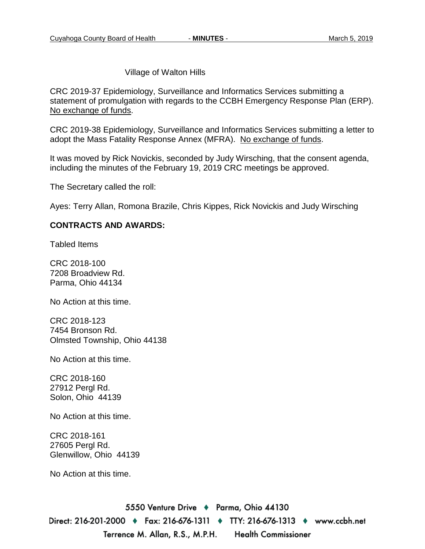Village of Walton Hills

CRC 2019-37 Epidemiology, Surveillance and Informatics Services submitting a statement of promulgation with regards to the CCBH Emergency Response Plan (ERP). No exchange of funds.

CRC 2019-38 Epidemiology, Surveillance and Informatics Services submitting a letter to adopt the Mass Fatality Response Annex (MFRA). No exchange of funds.

It was moved by Rick Novickis, seconded by Judy Wirsching, that the consent agenda, including the minutes of the February 19, 2019 CRC meetings be approved.

The Secretary called the roll:

Ayes: Terry Allan, Romona Brazile, Chris Kippes, Rick Novickis and Judy Wirsching

#### **CONTRACTS AND AWARDS:**

Tabled Items

CRC 2018-100 7208 Broadview Rd. Parma, Ohio 44134

No Action at this time.

CRC 2018-123 7454 Bronson Rd. Olmsted Township, Ohio 44138

No Action at this time.

CRC 2018-160 27912 Pergl Rd. Solon, Ohio 44139

No Action at this time.

CRC 2018-161 27605 Pergl Rd. Glenwillow, Ohio 44139

No Action at this time.

5550 Venture Drive + Parma, Ohio 44130 Direct: 216-201-2000 ♦ Fax: 216-676-1311 ♦ TTY: 216-676-1313 ♦ www.ccbh.net Terrence M. Allan, R.S., M.P.H. **Health Commissioner**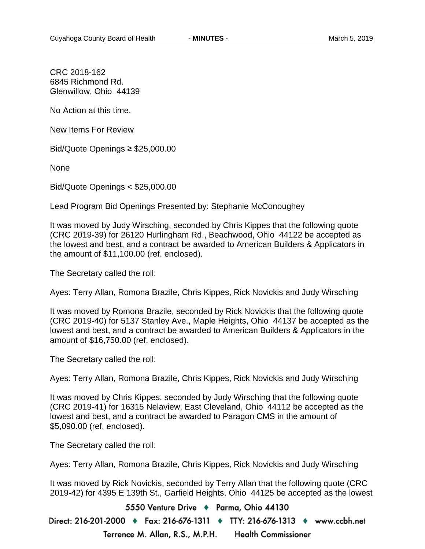CRC 2018-162 6845 Richmond Rd. Glenwillow, Ohio 44139

No Action at this time.

New Items For Review

Bid/Quote Openings ≥ \$25,000.00

None

Bid/Quote Openings < \$25,000.00

Lead Program Bid Openings Presented by: Stephanie McConoughey

It was moved by Judy Wirsching, seconded by Chris Kippes that the following quote (CRC 2019-39) for 26120 Hurlingham Rd., Beachwood, Ohio 44122 be accepted as the lowest and best, and a contract be awarded to American Builders & Applicators in the amount of \$11,100.00 (ref. enclosed).

The Secretary called the roll:

Ayes: Terry Allan, Romona Brazile, Chris Kippes, Rick Novickis and Judy Wirsching

It was moved by Romona Brazile, seconded by Rick Novickis that the following quote (CRC 2019-40) for 5137 Stanley Ave., Maple Heights, Ohio 44137 be accepted as the lowest and best, and a contract be awarded to American Builders & Applicators in the amount of \$16,750.00 (ref. enclosed).

The Secretary called the roll:

Ayes: Terry Allan, Romona Brazile, Chris Kippes, Rick Novickis and Judy Wirsching

It was moved by Chris Kippes, seconded by Judy Wirsching that the following quote (CRC 2019-41) for 16315 Nelaview, East Cleveland, Ohio 44112 be accepted as the lowest and best, and a contract be awarded to Paragon CMS in the amount of \$5,090.00 (ref. enclosed).

The Secretary called the roll:

Ayes: Terry Allan, Romona Brazile, Chris Kippes, Rick Novickis and Judy Wirsching

It was moved by Rick Novickis, seconded by Terry Allan that the following quote (CRC 2019-42) for 4395 E 139th St., Garfield Heights, Ohio 44125 be accepted as the lowest

5550 Venture Drive + Parma, Ohio 44130

Direct: 216-201-2000 ♦ Fax: 216-676-1311 ♦ TTY: 216-676-1313 ♦ www.ccbh.net Terrence M. Allan, R.S., M.P.H. **Health Commissioner**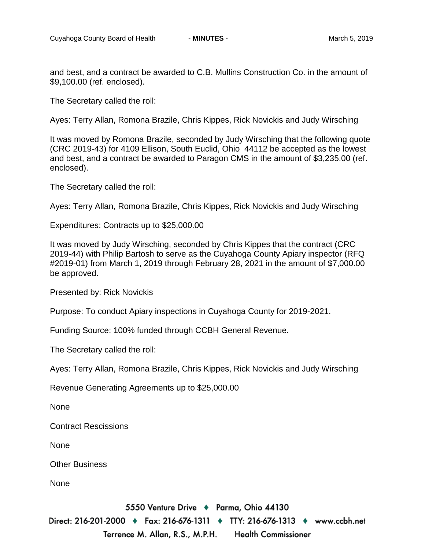and best, and a contract be awarded to C.B. Mullins Construction Co. in the amount of \$9,100.00 (ref. enclosed).

The Secretary called the roll:

Ayes: Terry Allan, Romona Brazile, Chris Kippes, Rick Novickis and Judy Wirsching

It was moved by Romona Brazile, seconded by Judy Wirsching that the following quote (CRC 2019-43) for 4109 Ellison, South Euclid, Ohio 44112 be accepted as the lowest and best, and a contract be awarded to Paragon CMS in the amount of \$3,235.00 (ref. enclosed).

The Secretary called the roll:

Ayes: Terry Allan, Romona Brazile, Chris Kippes, Rick Novickis and Judy Wirsching

Expenditures: Contracts up to \$25,000.00

It was moved by Judy Wirsching, seconded by Chris Kippes that the contract (CRC 2019-44) with Philip Bartosh to serve as the Cuyahoga County Apiary inspector (RFQ #2019-01) from March 1, 2019 through February 28, 2021 in the amount of \$7,000.00 be approved.

Presented by: Rick Novickis

Purpose: To conduct Apiary inspections in Cuyahoga County for 2019-2021.

Funding Source: 100% funded through CCBH General Revenue.

The Secretary called the roll:

Ayes: Terry Allan, Romona Brazile, Chris Kippes, Rick Novickis and Judy Wirsching

Revenue Generating Agreements up to \$25,000.00

None

Contract Rescissions

None

Other Business

None

5550 Venture Drive + Parma, Ohio 44130

Direct: 216-201-2000 ♦ Fax: 216-676-1311 ♦ TTY: 216-676-1313 ♦ www.ccbh.net Terrence M. Allan, R.S., M.P.H. **Health Commissioner**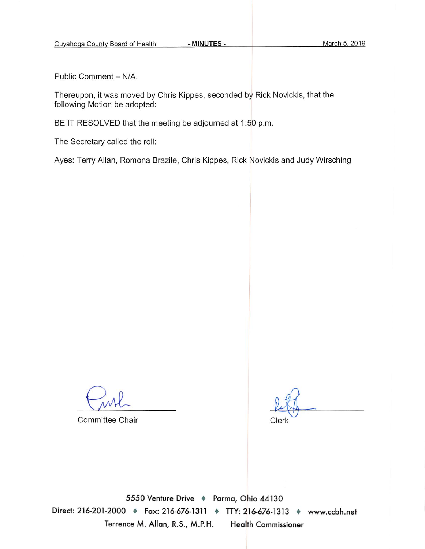Public Comment - N/A.

Thereupon, it was moved by Chris Kippes, seconded by Rick Novickis, that the following Motion be adopted:

BE IT RESOLVED that the meeting be adjourned at 1:50 p.m.

The Secretary called the roll:

Ayes: Terry Allan, Romona Brazile, Chris Kippes, Rick Novickis and Judy Wirsching

Committee Chair

Clerk

5550 Venture Drive + Parma, Ohio 44130 Direct: 216-201-2000 + Fax: 216-676-1311 + TTY: 216-676-1313 + www.ccbh.net Terrence M. Allan, R.S., M.P.H. **Health Commissioner**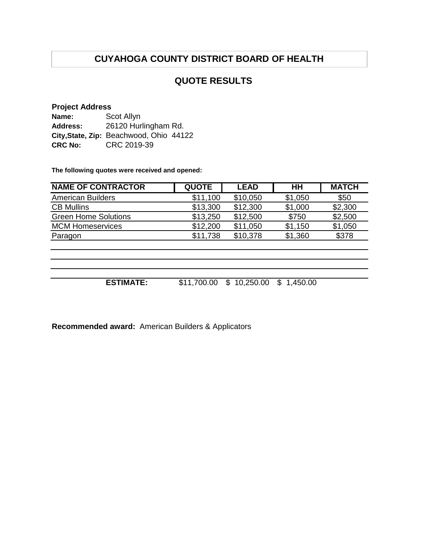### **QUOTE RESULTS**

#### **Project Address**

| Name:           | Scot Allyn                              |  |
|-----------------|-----------------------------------------|--|
| <b>Address:</b> | 26120 Hurlingham Rd.                    |  |
|                 | City, State, Zip: Beachwood, Ohio 44122 |  |
| <b>CRC No:</b>  | CRC 2019-39                             |  |

**The following quotes were received and opened:**

| <b>QUOTE</b> | <b>LEAD</b> | HH          | <b>MATCH</b> |
|--------------|-------------|-------------|--------------|
| \$11,100     | \$10,050    | \$1,050     | \$50         |
| \$13,300     | \$12,300    | \$1,000     | \$2,300      |
| \$13,250     | \$12,500    | \$750       | \$2,500      |
| \$12,200     | \$11,050    | \$1,150     | \$1,050      |
| \$11,738     | \$10,378    | \$1,360     | \$378        |
|              |             |             |              |
|              |             |             |              |
|              |             |             |              |
|              |             |             |              |
|              |             | \$          |              |
|              | \$11,700.00 | \$10,250.00 | 1,450.00     |

**Recommended award:** American Builders & Applicators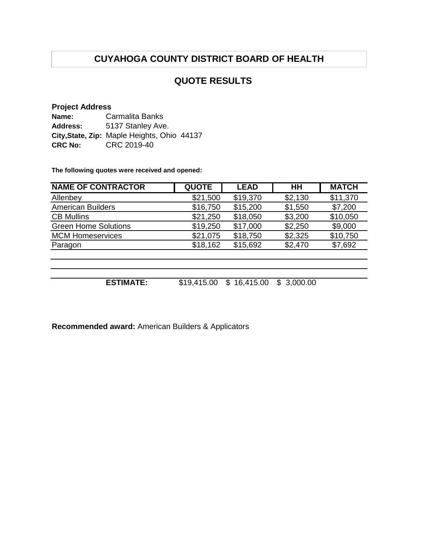## **QUOTE RESULTS**

#### **Project Address**

| Name:           | <b>Carmalita Banks</b>                      |
|-----------------|---------------------------------------------|
| <b>Address:</b> | 5137 Stanley Ave.                           |
|                 | City, State, Zip: Maple Heights, Ohio 44137 |
| <b>CRC No:</b>  | CRC 2019-40                                 |

**The following quotes were received and opened:**

| <b>NAME OF CONTRACTOR</b>   | <b>QUOTE</b> | <b>LEAD</b>     | HH              | <b>MATCH</b> |
|-----------------------------|--------------|-----------------|-----------------|--------------|
| Allenbey                    | \$21,500     | \$19,370        | \$2,130         | \$11,370     |
| <b>American Builders</b>    | \$16,750     | \$15,200        | \$1,550         | \$7,200      |
| <b>CB Mullins</b>           | \$21,250     | \$18,050        | \$3,200         | \$10,050     |
| <b>Green Home Solutions</b> | \$19,250     | \$17,000        | \$2,250         | \$9,000      |
| <b>MCM Homeservices</b>     | \$21,075     | \$18,750        | \$2,325         | \$10,750     |
| Paragon                     | \$18,162     | \$15,692        | \$2,470         | \$7,692      |
|                             |              |                 |                 |              |
|                             |              |                 |                 |              |
|                             |              |                 |                 |              |
| <b>ESTIMATE:</b>            | \$19,415.00  | 16,415.00<br>\$ | 3,000.00<br>\$. |              |

**Recommended award:** American Builders & Applicators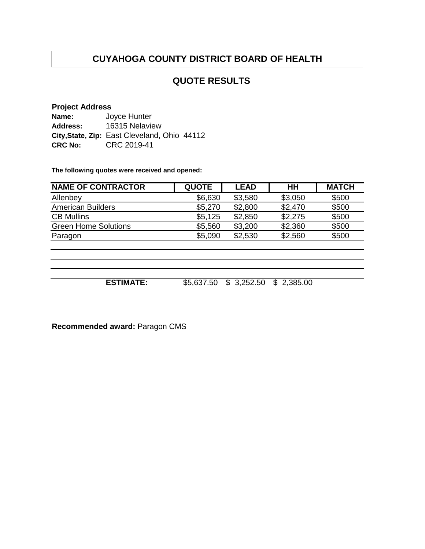### **QUOTE RESULTS**

#### **Project Address**

| Name:          | Joyce Hunter                                 |  |
|----------------|----------------------------------------------|--|
| Address:       | 16315 Nelaview                               |  |
|                | City, State, Zip: East Cleveland, Ohio 44112 |  |
| <b>CRC No:</b> | CRC 2019-41                                  |  |

**The following quotes were received and opened:**

| <b>NAME OF CONTRACTOR</b>   | <b>QUOTE</b> | <b>LEAD</b> | HH             | <b>MATCH</b> |
|-----------------------------|--------------|-------------|----------------|--------------|
| Allenbey                    | \$6,630      | \$3,580     | \$3,050        | \$500        |
| <b>American Builders</b>    | \$5,270      | \$2,800     | \$2,470        | \$500        |
| <b>CB Mullins</b>           | \$5,125      | \$2,850     | \$2,275        | \$500        |
| <b>Green Home Solutions</b> | \$5,560      | \$3,200     | \$2,360        | \$500        |
| Paragon                     | \$5,090      | \$2,530     | \$2,560        | \$500        |
|                             |              |             |                |              |
|                             |              |             |                |              |
|                             |              |             |                |              |
|                             |              |             |                |              |
| <b>ESTIMATE:</b>            | \$5,637.50   | \$3,252.50  | 2,385.00<br>\$ |              |

**Recommended award:** Paragon CMS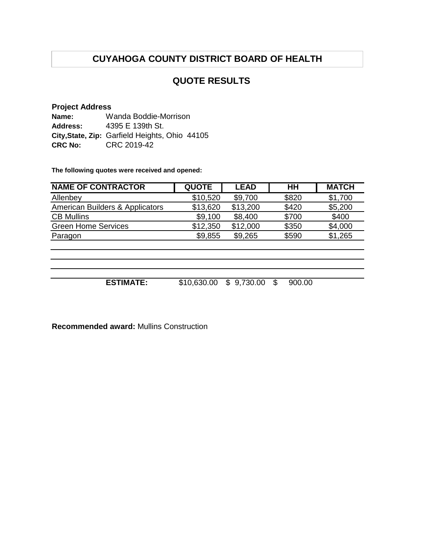## **QUOTE RESULTS**

#### **Project Address Name: Address: City,State, Zip:** Garfield Heights, Ohio 44105 **CRC No:** CRC 2019-42 Wanda Boddie-Morrison 4395 E 139th St.

**The following quotes were received and opened:**

| <b>QUOTE</b> | <b>LEAD</b> | HН         | <b>MATCH</b> |
|--------------|-------------|------------|--------------|
| \$10,520     | \$9,700     | \$820      | \$1,700      |
| \$13,620     | \$13,200    | \$420      | \$5,200      |
| \$9,100      | \$8,400     | \$700      | \$400        |
| \$12,350     | \$12,000    | \$350      | \$4,000      |
| \$9,855      | \$9,265     | \$590      | \$1,265      |
|              |             |            |              |
|              |             |            |              |
|              |             |            |              |
|              |             |            |              |
|              |             | \$.        |              |
|              | \$10,630.00 | \$9,730.00 | 900.00       |

**Recommended award:** Mullins Construction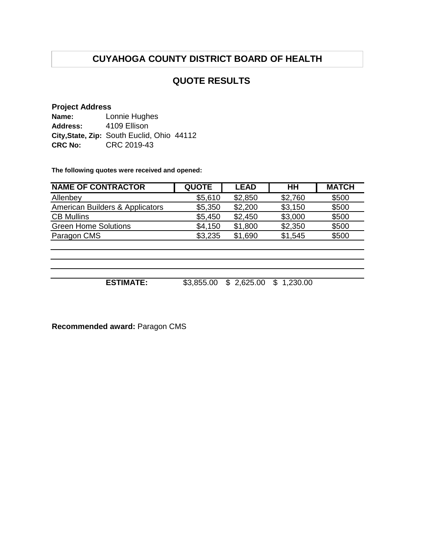### **QUOTE RESULTS**

#### **Project Address**

**Name: Address:** City, State, Zip: South Euclid, Ohio 44112 **CRC No:** CRC 2019-43 Lonnie Hughes 4109 Ellison

**The following quotes were received and opened:**

| <b>NAME OF CONTRACTOR</b>       | <b>QUOTE</b> | <b>LEAD</b>     | HH             | <b>MATCH</b> |
|---------------------------------|--------------|-----------------|----------------|--------------|
| Allenbey                        | \$5,610      | \$2,850         | \$2,760        | \$500        |
| American Builders & Applicators | \$5,350      | \$2,200         | \$3,150        | \$500        |
| <b>CB Mullins</b>               | \$5,450      | \$2,450         | \$3,000        | \$500        |
| <b>Green Home Solutions</b>     | \$4,150      | \$1,800         | \$2,350        | \$500        |
| Paragon CMS                     | \$3,235      | \$1,690         | \$1,545        | \$500        |
|                                 |              |                 |                |              |
|                                 |              |                 |                |              |
|                                 |              |                 |                |              |
|                                 |              |                 |                |              |
| <b>ESTIMATE:</b>                | \$3,855.00   | 2,625.00<br>\$. | 1,230.00<br>\$ |              |

**Recommended award:** Paragon CMS